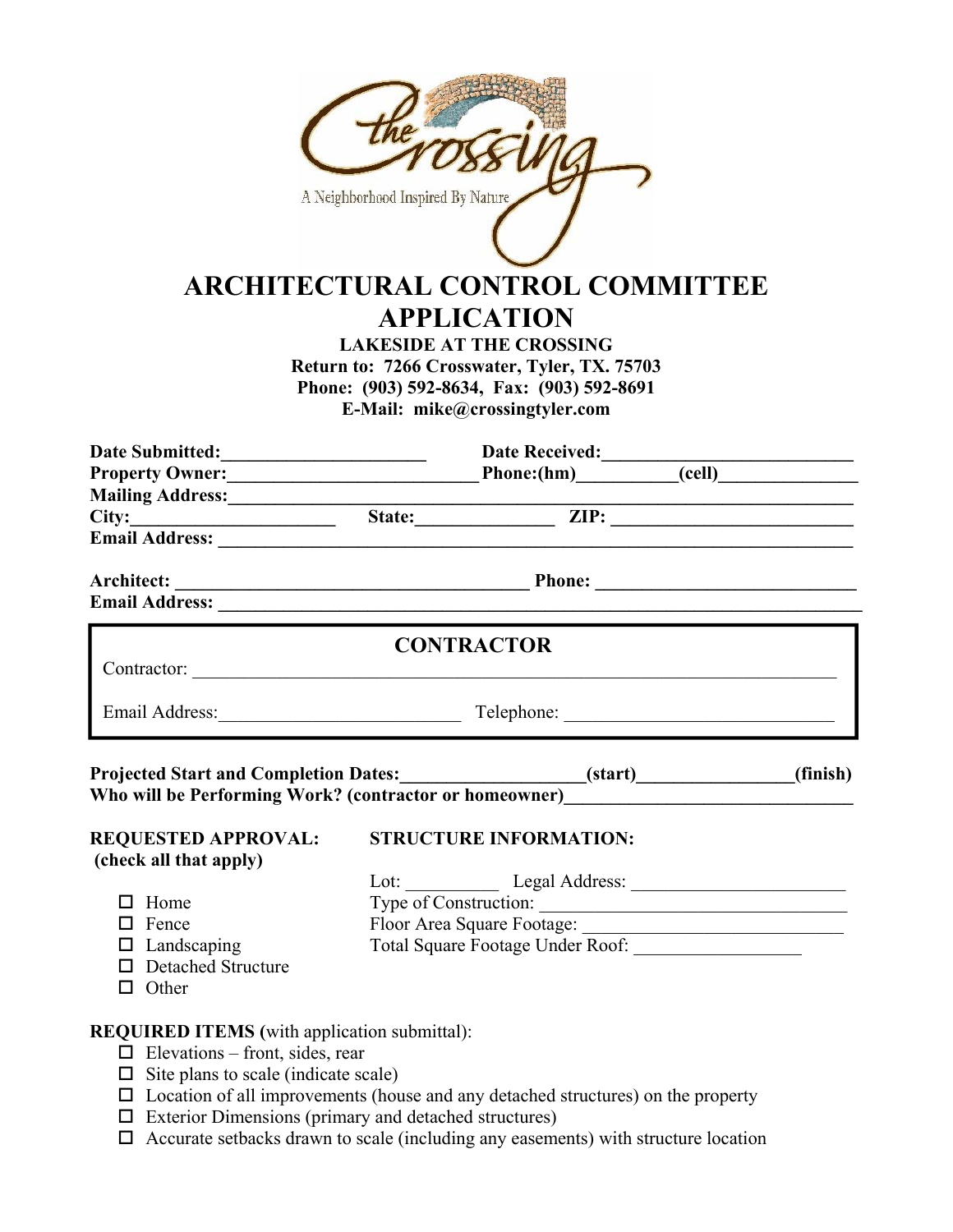|                                                                                                                                                                | A Neighborhood Inspired By Nature                                                                                                                                                                                              | <b>ARCHITECTURAL CONTROL COMMITTEE</b><br><b>APPLICATION</b><br><b>LAKESIDE AT THE CROSSING</b><br>Return to: 7266 Crosswater, Tyler, TX. 75703<br>Phone: (903) 592-8634, Fax: (903) 592-8691<br>E-Mail: mike@crossingtyler.com |  |          |
|----------------------------------------------------------------------------------------------------------------------------------------------------------------|--------------------------------------------------------------------------------------------------------------------------------------------------------------------------------------------------------------------------------|---------------------------------------------------------------------------------------------------------------------------------------------------------------------------------------------------------------------------------|--|----------|
|                                                                                                                                                                |                                                                                                                                                                                                                                |                                                                                                                                                                                                                                 |  |          |
|                                                                                                                                                                |                                                                                                                                                                                                                                |                                                                                                                                                                                                                                 |  |          |
| Mailing Address: <u>City: Example 2008</u><br>City: City: City: City: City: City: City: City: City: City: City: City: City: City: City: City: City: City: City |                                                                                                                                                                                                                                |                                                                                                                                                                                                                                 |  |          |
| Email Address: New York Changes and Services and Services and Services and Services and Services and Services                                                  |                                                                                                                                                                                                                                |                                                                                                                                                                                                                                 |  |          |
|                                                                                                                                                                |                                                                                                                                                                                                                                |                                                                                                                                                                                                                                 |  |          |
| <b>Email Address:</b> <u>Contract Communication</u> Contract Communication Communication Communication Communication Communication                             |                                                                                                                                                                                                                                | <b>CONTRACTOR</b>                                                                                                                                                                                                               |  |          |
|                                                                                                                                                                |                                                                                                                                                                                                                                |                                                                                                                                                                                                                                 |  |          |
|                                                                                                                                                                | Telephone:                                                                                                                                                                                                                     |                                                                                                                                                                                                                                 |  |          |
| <b>Projected Start and Completion Dates:_</b><br>Who will be Performing Work? (contractor or homeowner)__________________________                              |                                                                                                                                                                                                                                | (start)                                                                                                                                                                                                                         |  | (finish) |
| <b>REQUESTED APPROVAL:</b><br>(check all that apply)                                                                                                           |                                                                                                                                                                                                                                | <b>STRUCTURE INFORMATION:</b>                                                                                                                                                                                                   |  |          |
|                                                                                                                                                                |                                                                                                                                                                                                                                | Lot: Legal Address: Legal Address:                                                                                                                                                                                              |  |          |
| $\Box$ Home                                                                                                                                                    | Type of Construction: The Construction Construction Construction Constant Constant Constant Constant Constant Constant Constant Constant Constant Constant Constant Constant Constant Constant Constant Constant Constant Cons |                                                                                                                                                                                                                                 |  |          |
| $\Box$ Fence<br>$\Box$ Landscaping                                                                                                                             |                                                                                                                                                                                                                                |                                                                                                                                                                                                                                 |  |          |
| $\Box$ Detached Structure<br>$\Box$ Other                                                                                                                      |                                                                                                                                                                                                                                |                                                                                                                                                                                                                                 |  |          |
| <b>REQUIRED ITEMS</b> (with application submittal):                                                                                                            |                                                                                                                                                                                                                                |                                                                                                                                                                                                                                 |  |          |
| $\Box$ Elevations – front, sides, rear                                                                                                                         |                                                                                                                                                                                                                                |                                                                                                                                                                                                                                 |  |          |
| $\Box$ Site plans to scale (indicate scale)                                                                                                                    |                                                                                                                                                                                                                                |                                                                                                                                                                                                                                 |  |          |
| $\Box$ Location of all improvements (house and any detached structures) on the property                                                                        |                                                                                                                                                                                                                                |                                                                                                                                                                                                                                 |  |          |

- $\square$  Exterior Dimensions (primary and detached structures)
- $\Box$  Accurate setbacks drawn to scale (including any easements) with structure location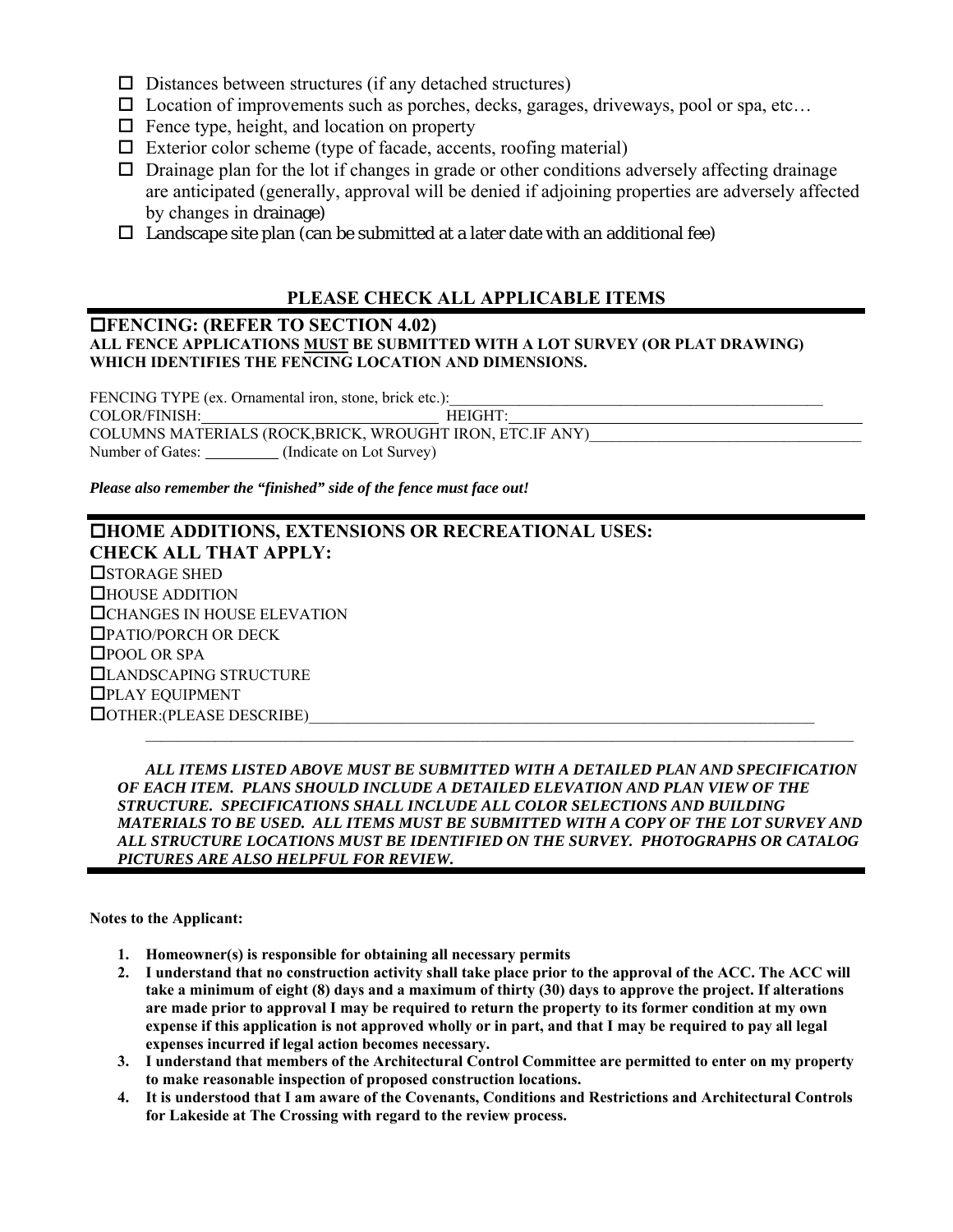- $\square$  Distances between structures (if any detached structures)
- $\square$  Location of improvements such as porches, decks, garages, driveways, pool or spa, etc...
- $\Box$  Fence type, height, and location on property
- $\Box$  Exterior color scheme (type of facade, accents, roofing material)
- $\Box$  Drainage plan for the lot if changes in grade or other conditions adversely affecting drainage are anticipated (generally, approval will be denied if adjoining properties are adversely affected by changes in drainage)
- $\Box$  Landscape site plan (can be submitted at a later date with an additional fee)

## **PLEASE CHECK ALL APPLICABLE ITEMS**

### **FENCING: (REFER TO SECTION 4.02) ALL FENCE APPLICATIONS MUST BE SUBMITTED WITH A LOT SURVEY (OR PLAT DRAWING) WHICH IDENTIFIES THE FENCING LOCATION AND DIMENSIONS.**

FENCING TYPE (ex. Ornamental iron, stone, brick etc.): COLOR/FINISH: HEIGHT: COLUMNS MATERIALS (ROCK,BRICK, WROUGHT IRON, ETC.IF ANY) Number of Gates: (Indicate on Lot Survey)

*Please also remember the "finished" side of the fence must face out!* 

## **HOME ADDITIONS, EXTENSIONS OR RECREATIONAL USES: CHECK ALL THAT APPLY: OSTORAGE SHED** HOUSE ADDITION CHANGES IN HOUSE ELEVATION PATIO/PORCH OR DECK □POOL OR SPA LANDSCAPING STRUCTURE PLAY EQUIPMENT  $\Box$  OTHER:(PLEASE DESCRIBE)  $\mathcal{L}_\mathcal{L} = \mathcal{L}_\mathcal{L}$

 *ALL ITEMS LISTED ABOVE MUST BE SUBMITTED WITH A DETAILED PLAN AND SPECIFICATION OF EACH ITEM. PLANS SHOULD INCLUDE A DETAILED ELEVATION AND PLAN VIEW OF THE STRUCTURE. SPECIFICATIONS SHALL INCLUDE ALL COLOR SELECTIONS AND BUILDING MATERIALS TO BE USED. ALL ITEMS MUST BE SUBMITTED WITH A COPY OF THE LOT SURVEY AND ALL STRUCTURE LOCATIONS MUST BE IDENTIFIED ON THE SURVEY. PHOTOGRAPHS OR CATALOG PICTURES ARE ALSO HELPFUL FOR REVIEW.* 

**Notes to the Applicant:** 

- **1. Homeowner(s) is responsible for obtaining all necessary permits**
- **2. I understand that no construction activity shall take place prior to the approval of the ACC. The ACC will take a minimum of eight (8) days and a maximum of thirty (30) days to approve the project. If alterations are made prior to approval I may be required to return the property to its former condition at my own expense if this application is not approved wholly or in part, and that I may be required to pay all legal expenses incurred if legal action becomes necessary.**
- **3. I understand that members of the Architectural Control Committee are permitted to enter on my property to make reasonable inspection of proposed construction locations.**
- **4. It is understood that I am aware of the Covenants, Conditions and Restrictions and Architectural Controls for Lakeside at The Crossing with regard to the review process.**